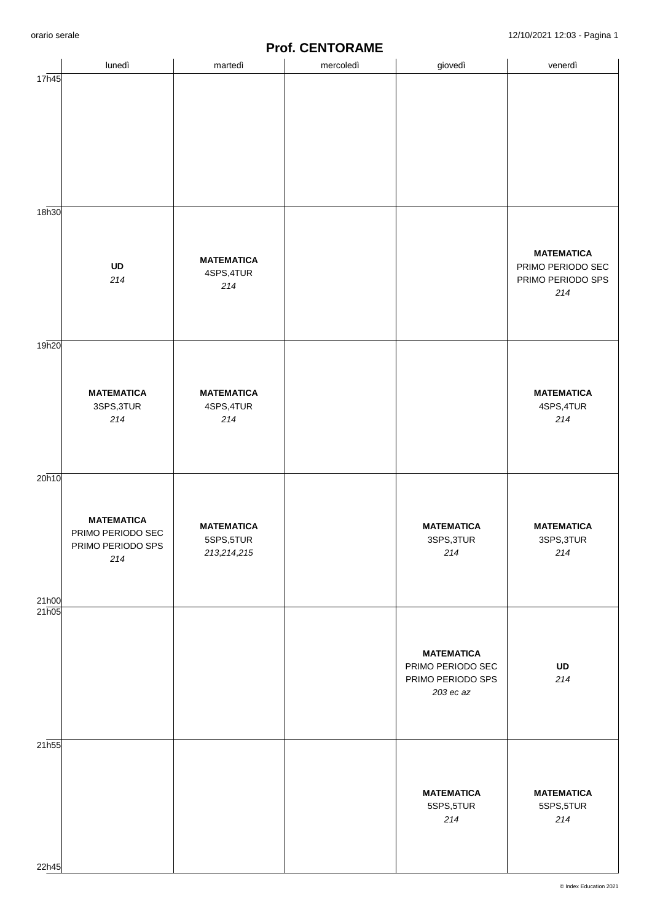|                | lunedì                                 | martedì                         | mercoledì | giovedì                                | venerdì                                |
|----------------|----------------------------------------|---------------------------------|-----------|----------------------------------------|----------------------------------------|
| 17h45          |                                        |                                 |           |                                        |                                        |
|                |                                        |                                 |           |                                        |                                        |
|                |                                        |                                 |           |                                        |                                        |
|                |                                        |                                 |           |                                        |                                        |
|                |                                        |                                 |           |                                        |                                        |
|                |                                        |                                 |           |                                        |                                        |
| 18h30          |                                        |                                 |           |                                        |                                        |
|                |                                        |                                 |           |                                        |                                        |
|                |                                        |                                 |           |                                        | <b>MATEMATICA</b>                      |
|                | UD<br>214                              | <b>MATEMATICA</b><br>4SPS, 4TUR |           |                                        | PRIMO PERIODO SEC<br>PRIMO PERIODO SPS |
|                |                                        | 214                             |           |                                        | 214                                    |
|                |                                        |                                 |           |                                        |                                        |
|                |                                        |                                 |           |                                        |                                        |
| 19h20          |                                        |                                 |           |                                        |                                        |
|                |                                        |                                 |           |                                        |                                        |
|                | <b>MATEMATICA</b>                      | <b>MATEMATICA</b>               |           |                                        | <b>MATEMATICA</b>                      |
|                | 3SPS, 3TUR<br>214                      | 4SPS, 4TUR<br>214               |           |                                        | 4SPS, 4TUR<br>214                      |
|                |                                        |                                 |           |                                        |                                        |
|                |                                        |                                 |           |                                        |                                        |
| 20h10          |                                        |                                 |           |                                        |                                        |
|                |                                        |                                 |           |                                        |                                        |
|                | <b>MATEMATICA</b>                      | <b>MATEMATICA</b>               |           | <b>MATEMATICA</b>                      | <b>MATEMATICA</b>                      |
|                | PRIMO PERIODO SEC<br>PRIMO PERIODO SPS | 5SPS,5TUR                       |           | 3SPS, 3TUR                             | 3SPS, 3TUR                             |
|                | 214                                    | 213, 214, 215                   |           | 214                                    | $214$                                  |
|                |                                        |                                 |           |                                        |                                        |
| 21h00<br>21h05 |                                        |                                 |           |                                        |                                        |
|                |                                        |                                 |           |                                        |                                        |
|                |                                        |                                 |           |                                        |                                        |
|                |                                        |                                 |           | <b>MATEMATICA</b><br>PRIMO PERIODO SEC | UD                                     |
|                |                                        |                                 |           | PRIMO PERIODO SPS<br>203 ec az         | $214$                                  |
|                |                                        |                                 |           |                                        |                                        |
|                |                                        |                                 |           |                                        |                                        |
| 21h55          |                                        |                                 |           |                                        |                                        |
|                |                                        |                                 |           |                                        |                                        |
|                |                                        |                                 |           | <b>MATEMATICA</b>                      | <b>MATEMATICA</b>                      |
|                |                                        |                                 |           | 5SPS,5TUR                              | 5SPS,5TUR                              |
|                |                                        |                                 |           | $214\,$                                | $214$                                  |
|                |                                        |                                 |           |                                        |                                        |
| 22h45          |                                        |                                 |           |                                        |                                        |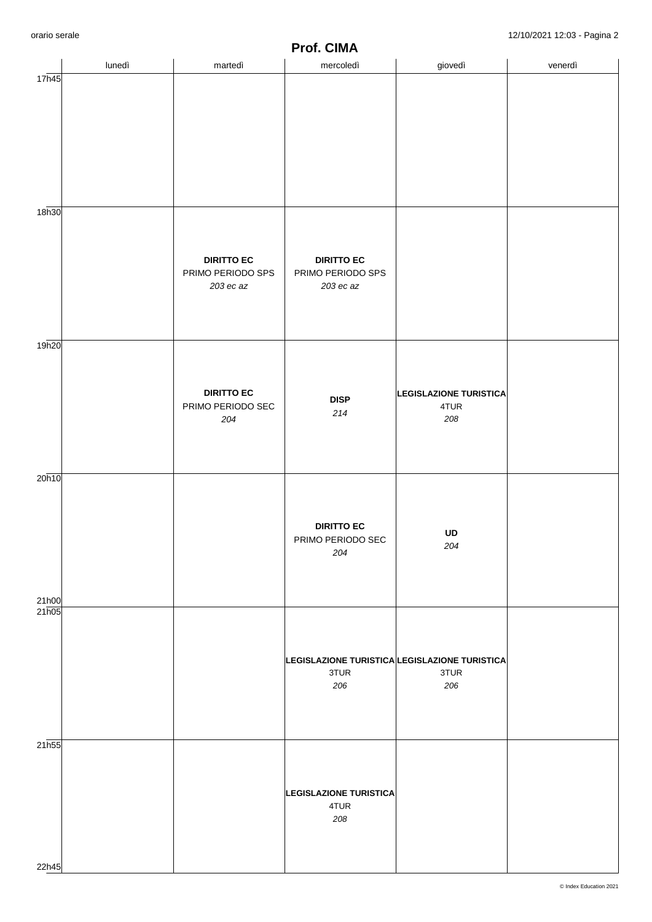|       | lunedì | martedì                                | .<br>,,,,,<br>. .<br>mercoledì                | giovedì                       | venerdì |
|-------|--------|----------------------------------------|-----------------------------------------------|-------------------------------|---------|
| 17h45 |        |                                        |                                               |                               |         |
|       |        |                                        |                                               |                               |         |
|       |        |                                        |                                               |                               |         |
|       |        |                                        |                                               |                               |         |
|       |        |                                        |                                               |                               |         |
|       |        |                                        |                                               |                               |         |
| 18h30 |        |                                        |                                               |                               |         |
|       |        |                                        |                                               |                               |         |
|       |        |                                        |                                               |                               |         |
|       |        | <b>DIRITTO EC</b><br>PRIMO PERIODO SPS | <b>DIRITTO EC</b><br>PRIMO PERIODO SPS        |                               |         |
|       |        | 203 ec az                              | 203 ec az                                     |                               |         |
|       |        |                                        |                                               |                               |         |
|       |        |                                        |                                               |                               |         |
| 19h20 |        |                                        |                                               |                               |         |
|       |        |                                        |                                               |                               |         |
|       |        | <b>DIRITTO EC</b>                      | <b>DISP</b>                                   | <b>LEGISLAZIONE TURISTICA</b> |         |
|       |        | PRIMO PERIODO SEC<br>204               | 214                                           | 4TUR<br>208                   |         |
|       |        |                                        |                                               |                               |         |
|       |        |                                        |                                               |                               |         |
| 20h10 |        |                                        |                                               |                               |         |
|       |        |                                        |                                               |                               |         |
|       |        |                                        |                                               |                               |         |
|       |        |                                        | <b>DIRITTO EC</b><br>PRIMO PERIODO SEC        | UD                            |         |
|       |        |                                        | 204                                           | 204                           |         |
|       |        |                                        |                                               |                               |         |
| 21h00 |        |                                        |                                               |                               |         |
| 21h05 |        |                                        |                                               |                               |         |
|       |        |                                        |                                               |                               |         |
|       |        |                                        | LEGISLAZIONE TURISTICA LEGISLAZIONE TURISTICA |                               |         |
|       |        |                                        | 3TUR<br>206                                   | 3TUR<br>206                   |         |
|       |        |                                        |                                               |                               |         |
|       |        |                                        |                                               |                               |         |
| 21h55 |        |                                        |                                               |                               |         |
|       |        |                                        |                                               |                               |         |
|       |        |                                        | <b>LEGISLAZIONE TURISTICA</b>                 |                               |         |
|       |        |                                        | 4TUR                                          |                               |         |
|       |        |                                        | 208                                           |                               |         |
|       |        |                                        |                                               |                               |         |
| 22h45 |        |                                        |                                               |                               |         |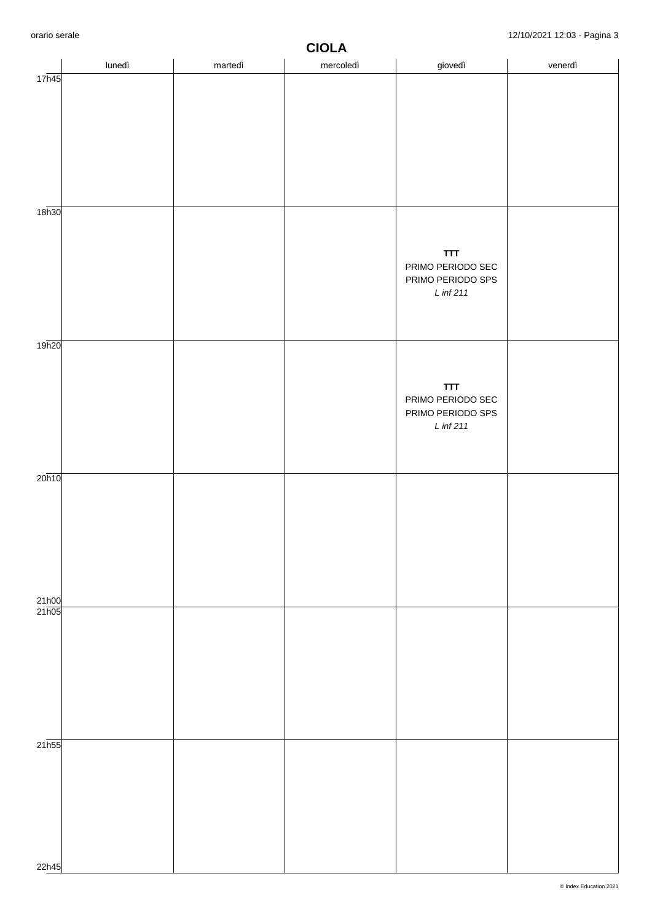|                       | lunedì | martedì | . . <del>.</del><br>mercoledì | giovedì                                | venerdì |
|-----------------------|--------|---------|-------------------------------|----------------------------------------|---------|
| 17h45                 |        |         |                               |                                        |         |
|                       |        |         |                               |                                        |         |
|                       |        |         |                               |                                        |         |
|                       |        |         |                               |                                        |         |
|                       |        |         |                               |                                        |         |
|                       |        |         |                               |                                        |         |
|                       |        |         |                               |                                        |         |
| 18h30                 |        |         |                               |                                        |         |
|                       |        |         |                               |                                        |         |
|                       |        |         |                               |                                        |         |
|                       |        |         |                               | <b>TTT</b><br>PRIMO PERIODO SEC        |         |
|                       |        |         |                               | PRIMO PERIODO SPS                      |         |
|                       |        |         |                               | L inf 211                              |         |
|                       |        |         |                               |                                        |         |
|                       |        |         |                               |                                        |         |
| 19h20                 |        |         |                               |                                        |         |
|                       |        |         |                               |                                        |         |
|                       |        |         |                               | <b>TTT</b>                             |         |
|                       |        |         |                               | PRIMO PERIODO SEC<br>PRIMO PERIODO SPS |         |
|                       |        |         |                               | $L$ inf 211                            |         |
|                       |        |         |                               |                                        |         |
|                       |        |         |                               |                                        |         |
| 20h10                 |        |         |                               |                                        |         |
|                       |        |         |                               |                                        |         |
|                       |        |         |                               |                                        |         |
|                       |        |         |                               |                                        |         |
|                       |        |         |                               |                                        |         |
|                       |        |         |                               |                                        |         |
|                       |        |         |                               |                                        |         |
| $\frac{21h00}{21h05}$ |        |         |                               |                                        |         |
|                       |        |         |                               |                                        |         |
|                       |        |         |                               |                                        |         |
|                       |        |         |                               |                                        |         |
|                       |        |         |                               |                                        |         |
|                       |        |         |                               |                                        |         |
|                       |        |         |                               |                                        |         |
|                       |        |         |                               |                                        |         |
| $21\overline{h55}$    |        |         |                               |                                        |         |
|                       |        |         |                               |                                        |         |
|                       |        |         |                               |                                        |         |
|                       |        |         |                               |                                        |         |
|                       |        |         |                               |                                        |         |
|                       |        |         |                               |                                        |         |
| 22h45                 |        |         |                               |                                        |         |
|                       |        |         |                               |                                        |         |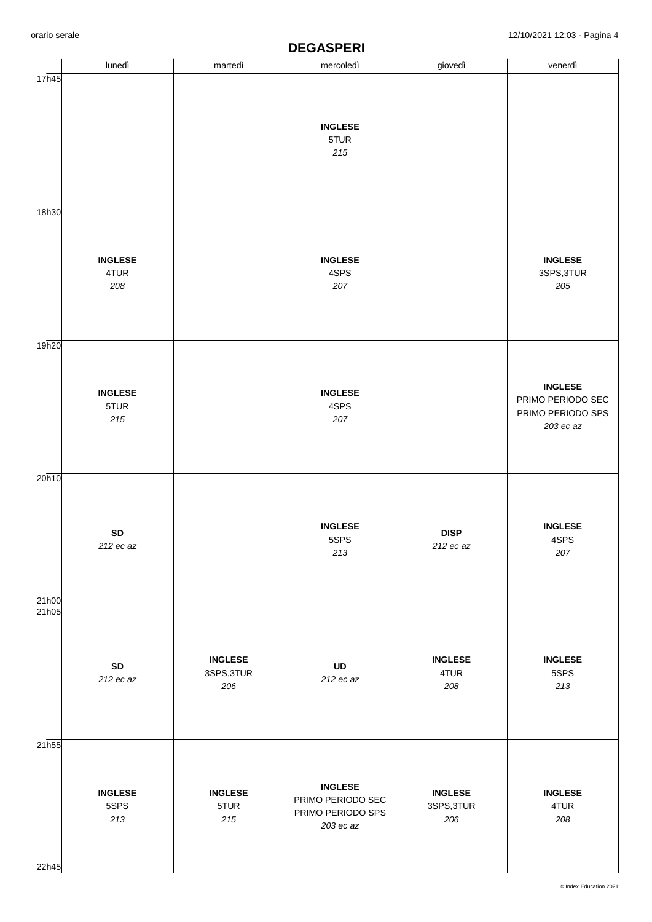|       | lunedì          | martedì        | mercoledì                           | giovedì        | venerdì                             |  |
|-------|-----------------|----------------|-------------------------------------|----------------|-------------------------------------|--|
| 17h45 |                 |                |                                     |                |                                     |  |
|       |                 |                |                                     |                |                                     |  |
|       |                 |                |                                     |                |                                     |  |
|       |                 |                | <b>INGLESE</b><br>5TUR              |                |                                     |  |
|       |                 |                | $215$                               |                |                                     |  |
|       |                 |                |                                     |                |                                     |  |
|       |                 |                |                                     |                |                                     |  |
|       |                 |                |                                     |                |                                     |  |
| 18h30 |                 |                |                                     |                |                                     |  |
|       |                 |                |                                     |                |                                     |  |
|       | <b>INGLESE</b>  |                | <b>INGLESE</b>                      |                | <b>INGLESE</b>                      |  |
|       | 4TUR            |                | 4SPS                                |                | 3SPS, 3TUR                          |  |
|       | 208             |                | 207                                 |                | 205                                 |  |
|       |                 |                |                                     |                |                                     |  |
|       |                 |                |                                     |                |                                     |  |
| 19h20 |                 |                |                                     |                |                                     |  |
|       |                 |                |                                     |                |                                     |  |
|       |                 |                |                                     |                |                                     |  |
|       | <b>INGLESE</b>  |                | <b>INGLESE</b>                      |                | <b>INGLESE</b><br>PRIMO PERIODO SEC |  |
|       | 5TUR            |                | 4SPS                                |                | PRIMO PERIODO SPS                   |  |
|       | $215\,$         |                | 207                                 |                | 203 ec az                           |  |
|       |                 |                |                                     |                |                                     |  |
|       |                 |                |                                     |                |                                     |  |
| 20h10 |                 |                |                                     |                |                                     |  |
|       |                 |                |                                     |                |                                     |  |
|       |                 |                |                                     |                |                                     |  |
|       | ${\sf SD}$      |                | <b>INGLESE</b><br>5SPS              | <b>DISP</b>    | <b>INGLESE</b><br>4SPS              |  |
|       | 212 ec az       |                | 213                                 | 212 ec az      | 207                                 |  |
|       |                 |                |                                     |                |                                     |  |
|       |                 |                |                                     |                |                                     |  |
| 21h00 |                 |                |                                     |                |                                     |  |
| 21h05 |                 |                |                                     |                |                                     |  |
|       |                 |                |                                     |                |                                     |  |
|       |                 | <b>INGLESE</b> |                                     | <b>INGLESE</b> | <b>INGLESE</b>                      |  |
|       | SD<br>212 ec az | 3SPS, 3TUR     | UD<br>212 ec az                     | 4TUR           | 5SPS                                |  |
|       |                 | 206            |                                     | 208            | 213                                 |  |
|       |                 |                |                                     |                |                                     |  |
|       |                 |                |                                     |                |                                     |  |
| 21h55 |                 |                |                                     |                |                                     |  |
|       |                 |                |                                     |                |                                     |  |
|       |                 |                |                                     |                |                                     |  |
|       | <b>INGLESE</b>  | <b>INGLESE</b> | <b>INGLESE</b><br>PRIMO PERIODO SEC | <b>INGLESE</b> | <b>INGLESE</b>                      |  |
|       | 5SPS            | 5TUR           | PRIMO PERIODO SPS                   | 3SPS, 3TUR     | 4TUR                                |  |
|       | 213             | 215            | 203 ec az                           | 206            | 208                                 |  |
|       |                 |                |                                     |                |                                     |  |
| 22h45 |                 |                |                                     |                |                                     |  |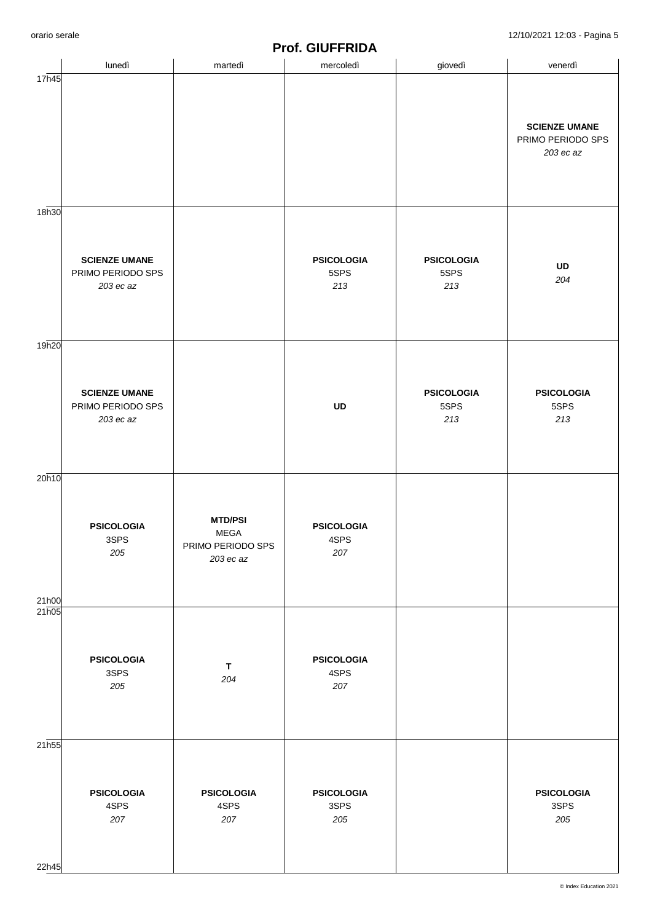|                   |                                                        |                                                                 | <u><b>IIVII UIVII INIDA</b></u>  |                                  |                                                        |
|-------------------|--------------------------------------------------------|-----------------------------------------------------------------|----------------------------------|----------------------------------|--------------------------------------------------------|
|                   | lunedì                                                 | martedì                                                         | mercoledì                        | giovedì                          | venerdì                                                |
| 17h45             |                                                        |                                                                 |                                  |                                  | <b>SCIENZE UMANE</b><br>PRIMO PERIODO SPS<br>203 ec az |
|                   |                                                        |                                                                 |                                  |                                  |                                                        |
| 18h30             | <b>SCIENZE UMANE</b><br>PRIMO PERIODO SPS<br>203 ec az |                                                                 | <b>PSICOLOGIA</b><br>5SPS<br>213 | <b>PSICOLOGIA</b><br>5SPS<br>213 | UD<br>204                                              |
| 19h20             |                                                        |                                                                 |                                  |                                  |                                                        |
|                   | <b>SCIENZE UMANE</b><br>PRIMO PERIODO SPS<br>203 ec az |                                                                 | UD                               | <b>PSICOLOGIA</b><br>5SPS<br>213 | <b>PSICOLOGIA</b><br>5SPS<br>213                       |
| 20h10             |                                                        |                                                                 |                                  |                                  |                                                        |
| 21h00             | <b>PSICOLOGIA</b><br>3SPS<br>205                       | <b>MTD/PSI</b><br><b>MEGA</b><br>PRIMO PERIODO SPS<br>203 ec az | <b>PSICOLOGIA</b><br>4SPS<br>207 |                                  |                                                        |
| 21h05             |                                                        |                                                                 |                                  |                                  |                                                        |
|                   | <b>PSICOLOGIA</b><br>3SPS<br>205                       | $\mathbf T$<br>204                                              | <b>PSICOLOGIA</b><br>4SPS<br>207 |                                  |                                                        |
| 21 <sub>h55</sub> |                                                        |                                                                 |                                  |                                  |                                                        |
|                   | <b>PSICOLOGIA</b><br>4SPS<br>207                       | <b>PSICOLOGIA</b><br>4SPS<br>207                                | <b>PSICOLOGIA</b><br>3SPS<br>205 |                                  | <b>PSICOLOGIA</b><br>3SPS<br>205                       |
|                   |                                                        |                                                                 |                                  |                                  |                                                        |
| 22h45             |                                                        |                                                                 |                                  |                                  |                                                        |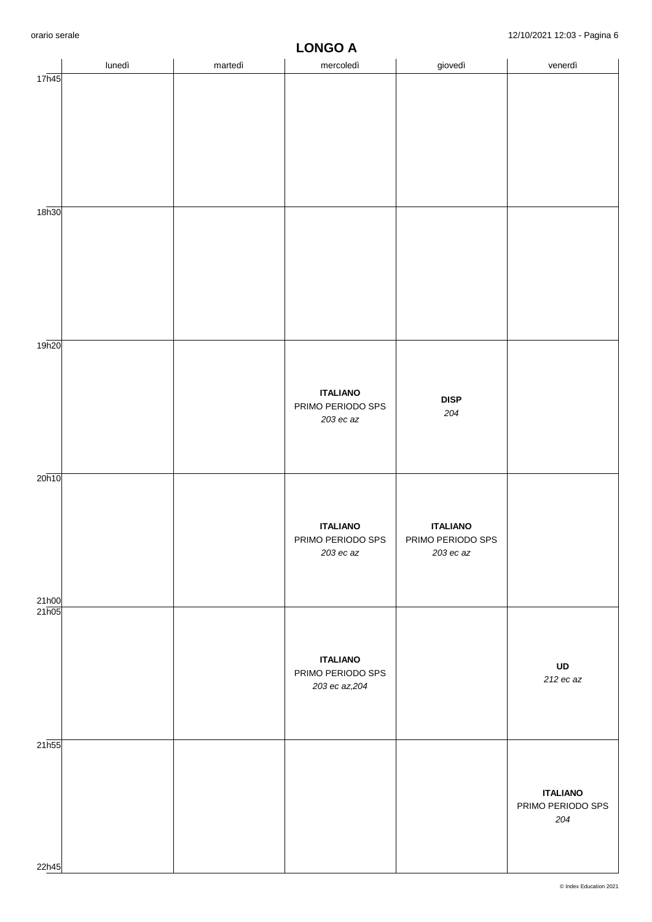|                    | lunedì | martedì | mercoledì                           | giovedì                          | venerdì                  |  |
|--------------------|--------|---------|-------------------------------------|----------------------------------|--------------------------|--|
| 17h45              |        |         |                                     |                                  |                          |  |
|                    |        |         |                                     |                                  |                          |  |
|                    |        |         |                                     |                                  |                          |  |
|                    |        |         |                                     |                                  |                          |  |
|                    |        |         |                                     |                                  |                          |  |
|                    |        |         |                                     |                                  |                          |  |
|                    |        |         |                                     |                                  |                          |  |
| 18h30              |        |         |                                     |                                  |                          |  |
|                    |        |         |                                     |                                  |                          |  |
|                    |        |         |                                     |                                  |                          |  |
|                    |        |         |                                     |                                  |                          |  |
|                    |        |         |                                     |                                  |                          |  |
|                    |        |         |                                     |                                  |                          |  |
|                    |        |         |                                     |                                  |                          |  |
| 19h20              |        |         |                                     |                                  |                          |  |
|                    |        |         |                                     |                                  |                          |  |
|                    |        |         | <b>ITALIANO</b>                     | <b>DISP</b>                      |                          |  |
|                    |        |         | PRIMO PERIODO SPS                   | 204                              |                          |  |
|                    |        |         | $203$ ec az                         |                                  |                          |  |
|                    |        |         |                                     |                                  |                          |  |
|                    |        |         |                                     |                                  |                          |  |
| 20h10              |        |         |                                     |                                  |                          |  |
|                    |        |         |                                     |                                  |                          |  |
|                    |        |         | <b>ITALIANO</b>                     | <b>ITALIANO</b>                  |                          |  |
|                    |        |         | PRIMO PERIODO SPS<br>$203$ ec az    | PRIMO PERIODO SPS<br>$203$ ec az |                          |  |
|                    |        |         |                                     |                                  |                          |  |
|                    |        |         |                                     |                                  |                          |  |
| 21h00<br>21h05     |        |         |                                     |                                  |                          |  |
|                    |        |         |                                     |                                  |                          |  |
|                    |        |         |                                     |                                  |                          |  |
|                    |        |         | <b>ITALIANO</b>                     |                                  | UD                       |  |
|                    |        |         | PRIMO PERIODO SPS<br>203 ec az, 204 |                                  | 212 ec az                |  |
|                    |        |         |                                     |                                  |                          |  |
|                    |        |         |                                     |                                  |                          |  |
| $21\overline{h55}$ |        |         |                                     |                                  |                          |  |
|                    |        |         |                                     |                                  |                          |  |
|                    |        |         |                                     |                                  |                          |  |
|                    |        |         |                                     |                                  | <b>ITALIANO</b>          |  |
|                    |        |         |                                     |                                  | PRIMO PERIODO SPS<br>204 |  |
|                    |        |         |                                     |                                  |                          |  |
|                    |        |         |                                     |                                  |                          |  |
| 22h45              |        |         |                                     |                                  |                          |  |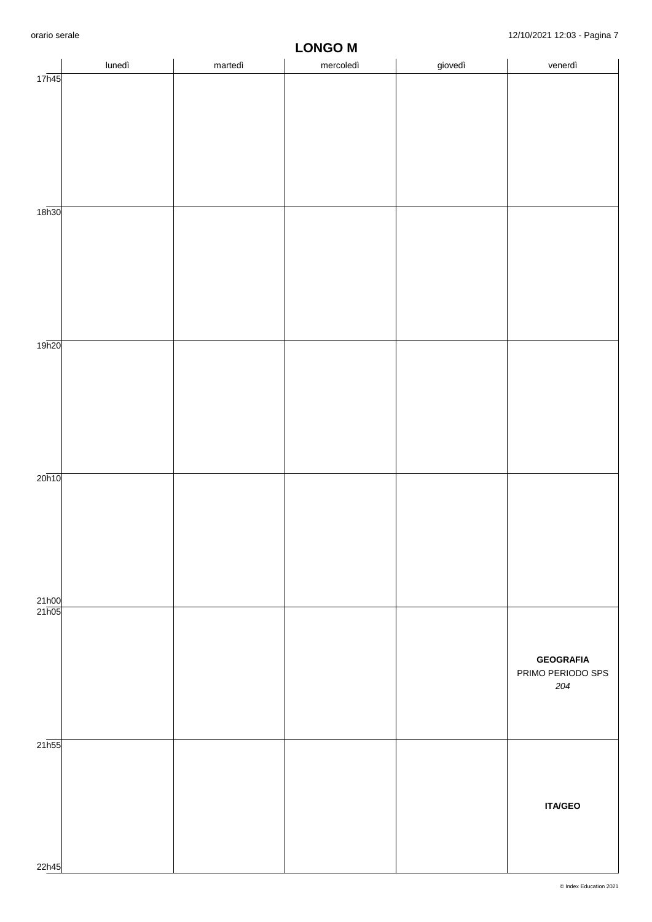|                    |        |         | <b>FAILOR</b> |         |                   |
|--------------------|--------|---------|---------------|---------|-------------------|
|                    | lunedì | martedì | mercoledì     | giovedì | venerdì           |
| 17 <sub>h45</sub>  |        |         |               |         |                   |
|                    |        |         |               |         |                   |
|                    |        |         |               |         |                   |
|                    |        |         |               |         |                   |
|                    |        |         |               |         |                   |
|                    |        |         |               |         |                   |
|                    |        |         |               |         |                   |
|                    |        |         |               |         |                   |
|                    |        |         |               |         |                   |
|                    |        |         |               |         |                   |
| 18 <sub>h30</sub>  |        |         |               |         |                   |
|                    |        |         |               |         |                   |
|                    |        |         |               |         |                   |
|                    |        |         |               |         |                   |
|                    |        |         |               |         |                   |
|                    |        |         |               |         |                   |
|                    |        |         |               |         |                   |
|                    |        |         |               |         |                   |
|                    |        |         |               |         |                   |
|                    |        |         |               |         |                   |
|                    |        |         |               |         |                   |
| 19h20              |        |         |               |         |                   |
|                    |        |         |               |         |                   |
|                    |        |         |               |         |                   |
|                    |        |         |               |         |                   |
|                    |        |         |               |         |                   |
|                    |        |         |               |         |                   |
|                    |        |         |               |         |                   |
|                    |        |         |               |         |                   |
|                    |        |         |               |         |                   |
|                    |        |         |               |         |                   |
| 20 <sub>h10</sub>  |        |         |               |         |                   |
|                    |        |         |               |         |                   |
|                    |        |         |               |         |                   |
|                    |        |         |               |         |                   |
|                    |        |         |               |         |                   |
|                    |        |         |               |         |                   |
|                    |        |         |               |         |                   |
|                    |        |         |               |         |                   |
|                    |        |         |               |         |                   |
|                    |        |         |               |         |                   |
| 21h00              |        |         |               |         |                   |
| 21h05              |        |         |               |         |                   |
|                    |        |         |               |         |                   |
|                    |        |         |               |         |                   |
|                    |        |         |               |         | <b>GEOGRAFIA</b>  |
|                    |        |         |               |         | PRIMO PERIODO SPS |
|                    |        |         |               |         | 204               |
|                    |        |         |               |         |                   |
|                    |        |         |               |         |                   |
|                    |        |         |               |         |                   |
|                    |        |         |               |         |                   |
| $21\overline{h55}$ |        |         |               |         |                   |
|                    |        |         |               |         |                   |
|                    |        |         |               |         |                   |
|                    |        |         |               |         |                   |
|                    |        |         |               |         |                   |
|                    |        |         |               |         | <b>ITA/GEO</b>    |
|                    |        |         |               |         |                   |
|                    |        |         |               |         |                   |
|                    |        |         |               |         |                   |
|                    |        |         |               |         |                   |
| 22h45              |        |         |               |         |                   |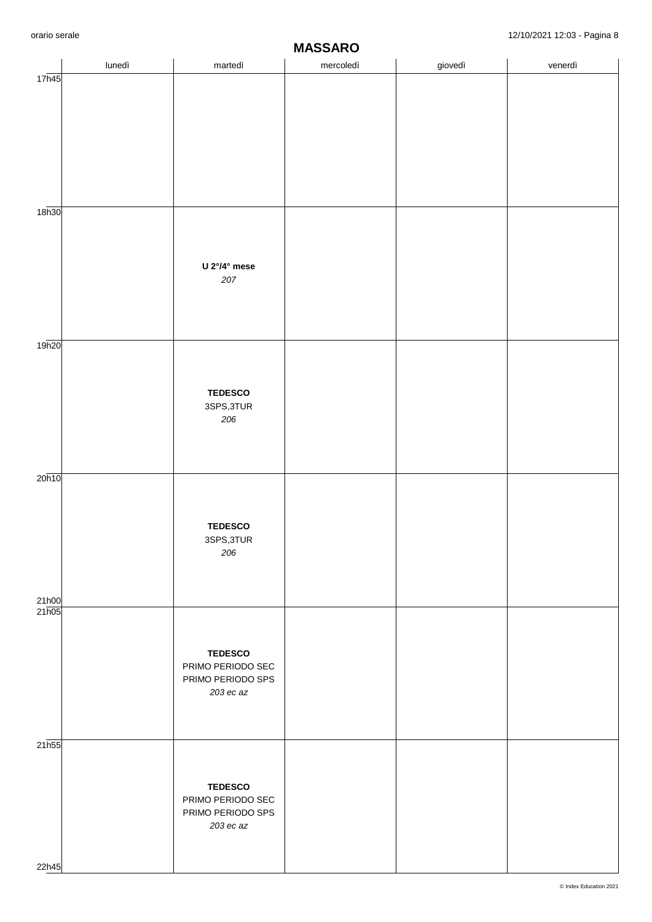|                   | lunedì | martedì                                | . <del>. .</del> .  .<br>mercoledì | giovedì | venerdì |
|-------------------|--------|----------------------------------------|------------------------------------|---------|---------|
| 17h45             |        |                                        |                                    |         |         |
|                   |        |                                        |                                    |         |         |
|                   |        |                                        |                                    |         |         |
|                   |        |                                        |                                    |         |         |
|                   |        |                                        |                                    |         |         |
|                   |        |                                        |                                    |         |         |
| 18 <sub>h30</sub> |        |                                        |                                    |         |         |
|                   |        |                                        |                                    |         |         |
|                   |        | U $2^{\circ}/4^{\circ}$ mese           |                                    |         |         |
|                   |        | 207                                    |                                    |         |         |
|                   |        |                                        |                                    |         |         |
|                   |        |                                        |                                    |         |         |
| 19h20             |        |                                        |                                    |         |         |
|                   |        |                                        |                                    |         |         |
|                   |        | <b>TEDESCO</b>                         |                                    |         |         |
|                   |        | 3SPS, 3TUR<br>206                      |                                    |         |         |
|                   |        |                                        |                                    |         |         |
|                   |        |                                        |                                    |         |         |
| 20h10             |        |                                        |                                    |         |         |
|                   |        |                                        |                                    |         |         |
|                   |        | <b>TEDESCO</b>                         |                                    |         |         |
|                   |        | 3SPS, 3TUR                             |                                    |         |         |
|                   |        | 206                                    |                                    |         |         |
|                   |        |                                        |                                    |         |         |
| 21h00<br>21h05    |        |                                        |                                    |         |         |
|                   |        |                                        |                                    |         |         |
|                   |        | <b>TEDESCO</b>                         |                                    |         |         |
|                   |        | PRIMO PERIODO SEC<br>PRIMO PERIODO SPS |                                    |         |         |
|                   |        | 203 ec az                              |                                    |         |         |
|                   |        |                                        |                                    |         |         |
| 21 <sub>h55</sub> |        |                                        |                                    |         |         |
|                   |        |                                        |                                    |         |         |
|                   |        | <b>TEDESCO</b>                         |                                    |         |         |
|                   |        | PRIMO PERIODO SEC<br>PRIMO PERIODO SPS |                                    |         |         |
|                   |        | 203 ec az                              |                                    |         |         |
|                   |        |                                        |                                    |         |         |
| 22h45             |        |                                        |                                    |         |         |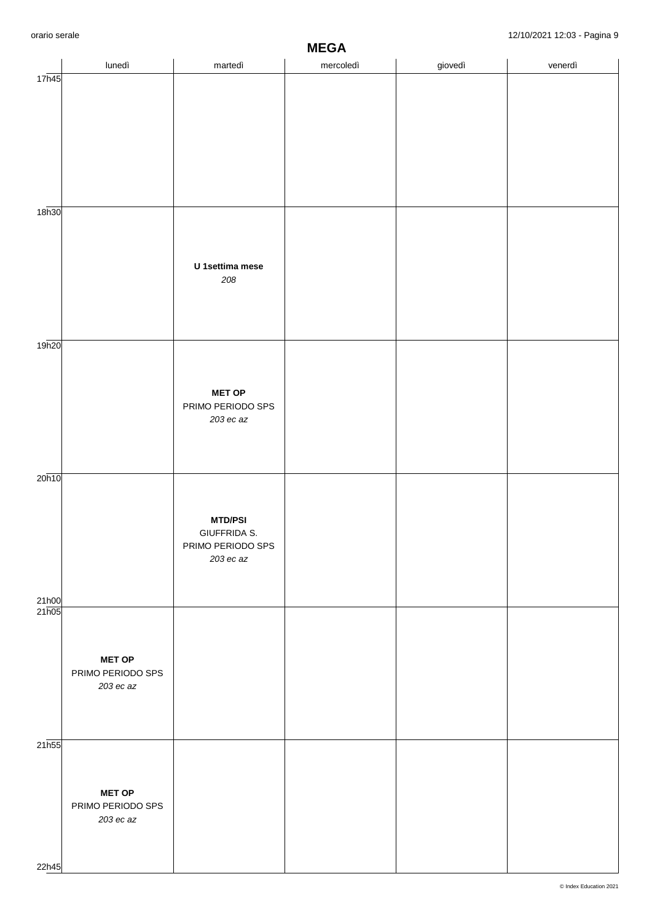|                | lunedì            | martedì                           | $m = 0H$<br>mercoledì | giovedì | venerdì |
|----------------|-------------------|-----------------------------------|-----------------------|---------|---------|
| 17h45          |                   |                                   |                       |         |         |
|                |                   |                                   |                       |         |         |
|                |                   |                                   |                       |         |         |
|                |                   |                                   |                       |         |         |
|                |                   |                                   |                       |         |         |
|                |                   |                                   |                       |         |         |
|                |                   |                                   |                       |         |         |
|                |                   |                                   |                       |         |         |
| 18h30          |                   |                                   |                       |         |         |
|                |                   |                                   |                       |         |         |
|                |                   |                                   |                       |         |         |
|                |                   | U 1settima mese                   |                       |         |         |
|                |                   | 208                               |                       |         |         |
|                |                   |                                   |                       |         |         |
|                |                   |                                   |                       |         |         |
|                |                   |                                   |                       |         |         |
| 19h20          |                   |                                   |                       |         |         |
|                |                   |                                   |                       |         |         |
|                |                   |                                   |                       |         |         |
|                |                   | <b>MET OP</b>                     |                       |         |         |
|                |                   | PRIMO PERIODO SPS                 |                       |         |         |
|                |                   | $203$ ec az                       |                       |         |         |
|                |                   |                                   |                       |         |         |
|                |                   |                                   |                       |         |         |
| 20h10          |                   |                                   |                       |         |         |
|                |                   |                                   |                       |         |         |
|                |                   |                                   |                       |         |         |
|                |                   | <b>MTD/PSI</b>                    |                       |         |         |
|                |                   | GIUFFRIDA S.<br>PRIMO PERIODO SPS |                       |         |         |
|                |                   | 203 ec az                         |                       |         |         |
|                |                   |                                   |                       |         |         |
|                |                   |                                   |                       |         |         |
| 21h00<br>21h05 |                   |                                   |                       |         |         |
|                |                   |                                   |                       |         |         |
|                |                   |                                   |                       |         |         |
|                | <b>MET OP</b>     |                                   |                       |         |         |
|                | PRIMO PERIODO SPS |                                   |                       |         |         |
|                | 203 ec az         |                                   |                       |         |         |
|                |                   |                                   |                       |         |         |
|                |                   |                                   |                       |         |         |
| 21h55          |                   |                                   |                       |         |         |
|                |                   |                                   |                       |         |         |
|                |                   |                                   |                       |         |         |
|                | <b>MET OP</b>     |                                   |                       |         |         |
|                | PRIMO PERIODO SPS |                                   |                       |         |         |
|                | $203$ ec az       |                                   |                       |         |         |
|                |                   |                                   |                       |         |         |
|                |                   |                                   |                       |         |         |
| 22h45          |                   |                                   |                       |         |         |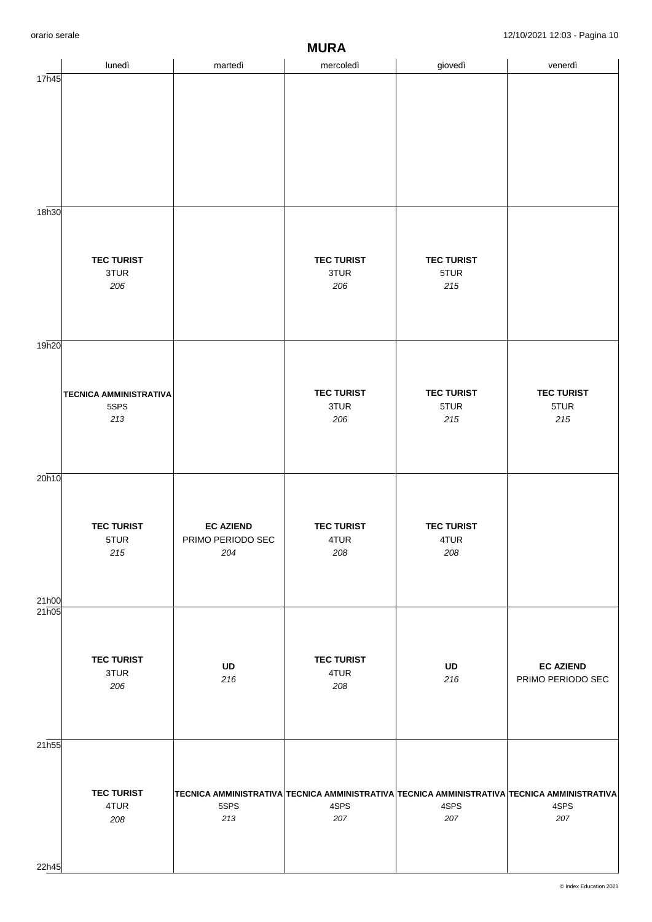|                   |                               |                          | $\bf{m}$                                                                                    |                   |                   |
|-------------------|-------------------------------|--------------------------|---------------------------------------------------------------------------------------------|-------------------|-------------------|
|                   | lunedì                        | martedì                  | mercoledì                                                                                   | giovedì           | venerdì           |
| 17h45             |                               |                          |                                                                                             |                   |                   |
|                   |                               |                          |                                                                                             |                   |                   |
|                   |                               |                          |                                                                                             |                   |                   |
|                   |                               |                          |                                                                                             |                   |                   |
|                   |                               |                          |                                                                                             |                   |                   |
|                   |                               |                          |                                                                                             |                   |                   |
|                   |                               |                          |                                                                                             |                   |                   |
|                   |                               |                          |                                                                                             |                   |                   |
|                   |                               |                          |                                                                                             |                   |                   |
|                   |                               |                          |                                                                                             |                   |                   |
| 18h30             |                               |                          |                                                                                             |                   |                   |
|                   |                               |                          |                                                                                             |                   |                   |
|                   |                               |                          |                                                                                             |                   |                   |
|                   | <b>TEC TURIST</b>             |                          | <b>TEC TURIST</b>                                                                           | <b>TEC TURIST</b> |                   |
|                   | 3TUR                          |                          | 3TUR                                                                                        | 5TUR              |                   |
|                   | 206                           |                          | 206                                                                                         | 215               |                   |
|                   |                               |                          |                                                                                             |                   |                   |
|                   |                               |                          |                                                                                             |                   |                   |
|                   |                               |                          |                                                                                             |                   |                   |
| 19h20             |                               |                          |                                                                                             |                   |                   |
|                   |                               |                          |                                                                                             |                   |                   |
|                   |                               |                          |                                                                                             |                   |                   |
|                   |                               |                          |                                                                                             |                   |                   |
|                   | <b>TECNICA AMMINISTRATIVA</b> |                          | <b>TEC TURIST</b>                                                                           | <b>TEC TURIST</b> | <b>TEC TURIST</b> |
|                   | 5SPS                          |                          | 3TUR                                                                                        | 5TUR              | 5TUR              |
|                   | $213$                         |                          | 206                                                                                         | 215               | 215               |
|                   |                               |                          |                                                                                             |                   |                   |
|                   |                               |                          |                                                                                             |                   |                   |
|                   |                               |                          |                                                                                             |                   |                   |
| 20h10             |                               |                          |                                                                                             |                   |                   |
|                   |                               |                          |                                                                                             |                   |                   |
|                   |                               |                          |                                                                                             |                   |                   |
|                   |                               |                          |                                                                                             |                   |                   |
|                   | <b>TEC TURIST</b>             | <b>EC AZIEND</b>         | <b>TEC TURIST</b>                                                                           | <b>TEC TURIST</b> |                   |
|                   | 5TUR<br>215                   | PRIMO PERIODO SEC<br>204 | 4TUR<br>208                                                                                 | 4TUR<br>208       |                   |
|                   |                               |                          |                                                                                             |                   |                   |
|                   |                               |                          |                                                                                             |                   |                   |
|                   |                               |                          |                                                                                             |                   |                   |
| 21h00             |                               |                          |                                                                                             |                   |                   |
| 21h05             |                               |                          |                                                                                             |                   |                   |
|                   |                               |                          |                                                                                             |                   |                   |
|                   |                               |                          |                                                                                             |                   |                   |
|                   | <b>TEC TURIST</b>             |                          | <b>TEC TURIST</b>                                                                           |                   |                   |
|                   | 3TUR                          | UD                       | 4TUR                                                                                        | UD                | <b>EC AZIEND</b>  |
|                   | 206                           | 216                      | 208                                                                                         | 216               | PRIMO PERIODO SEC |
|                   |                               |                          |                                                                                             |                   |                   |
|                   |                               |                          |                                                                                             |                   |                   |
|                   |                               |                          |                                                                                             |                   |                   |
| 21 <sub>h55</sub> |                               |                          |                                                                                             |                   |                   |
|                   |                               |                          |                                                                                             |                   |                   |
|                   |                               |                          |                                                                                             |                   |                   |
|                   |                               |                          |                                                                                             |                   |                   |
|                   | <b>TEC TURIST</b>             |                          | TECNICA AMMINISTRATIVA TECNICA AMMINISTRATIVA TECNICA AMMINISTRATIVA TECNICA AMMINISTRATIVA |                   |                   |
|                   | 4TUR                          | 5SPS                     | 4SPS                                                                                        | 4SPS              | 4SPS              |
|                   | 208                           | 213                      | 207                                                                                         | 207               | 207               |
|                   |                               |                          |                                                                                             |                   |                   |
|                   |                               |                          |                                                                                             |                   |                   |
|                   |                               |                          |                                                                                             |                   |                   |
| 22h45             |                               |                          |                                                                                             |                   |                   |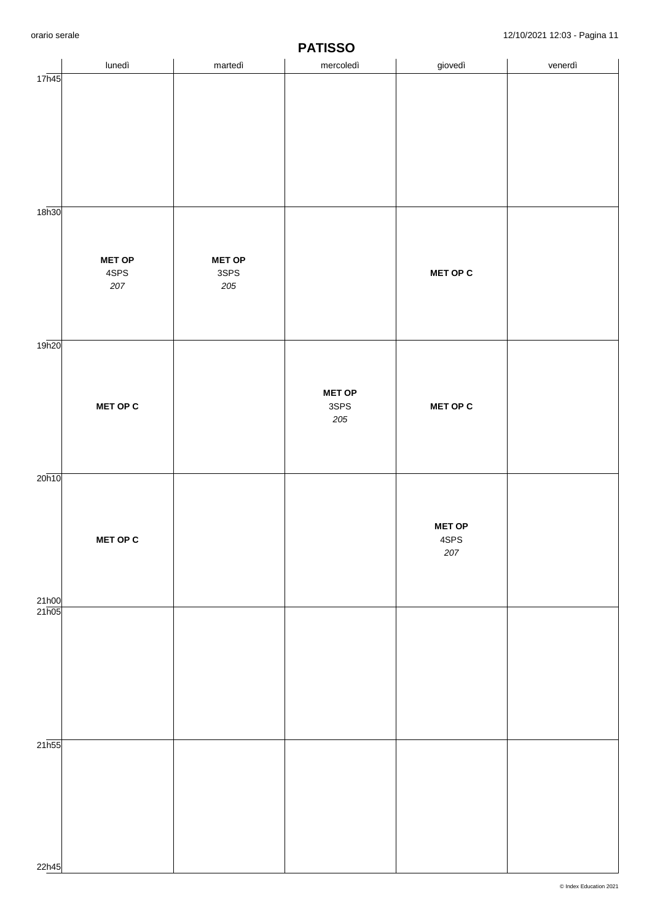|                             | lunedì          | martedì                 | . <i>.</i> <del>.</del> .<br>mercoledì | giovedì               | venerdì |
|-----------------------------|-----------------|-------------------------|----------------------------------------|-----------------------|---------|
| 17h45                       |                 |                         |                                        |                       |         |
|                             |                 |                         |                                        |                       |         |
|                             |                 |                         |                                        |                       |         |
|                             |                 |                         |                                        |                       |         |
|                             |                 |                         |                                        |                       |         |
|                             |                 |                         |                                        |                       |         |
|                             |                 |                         |                                        |                       |         |
| 18 <sub>h30</sub>           |                 |                         |                                        |                       |         |
|                             |                 |                         |                                        |                       |         |
|                             |                 |                         |                                        |                       |         |
|                             | <b>MET OP</b>   | <b>MET OP</b>           |                                        |                       |         |
|                             | 4SPS<br>$207\,$ | $3{\sf SPS}$<br>$205\,$ |                                        | <b>MET OP C</b>       |         |
|                             |                 |                         |                                        |                       |         |
|                             |                 |                         |                                        |                       |         |
|                             |                 |                         |                                        |                       |         |
| 19h20                       |                 |                         |                                        |                       |         |
|                             |                 |                         |                                        |                       |         |
|                             |                 |                         | <b>MET OP</b>                          |                       |         |
|                             | <b>MET OP C</b> |                         | 3SPS                                   | <b>MET OP C</b>       |         |
|                             |                 |                         | 205                                    |                       |         |
|                             |                 |                         |                                        |                       |         |
|                             |                 |                         |                                        |                       |         |
| 20h10                       |                 |                         |                                        |                       |         |
|                             |                 |                         |                                        |                       |         |
|                             |                 |                         |                                        |                       |         |
|                             | <b>MET OP C</b> |                         |                                        | <b>MET OP</b><br>4SPS |         |
|                             |                 |                         |                                        | $207\,$               |         |
|                             |                 |                         |                                        |                       |         |
|                             |                 |                         |                                        |                       |         |
| 21h00<br>$21\overline{h05}$ |                 |                         |                                        |                       |         |
|                             |                 |                         |                                        |                       |         |
|                             |                 |                         |                                        |                       |         |
|                             |                 |                         |                                        |                       |         |
|                             |                 |                         |                                        |                       |         |
|                             |                 |                         |                                        |                       |         |
|                             |                 |                         |                                        |                       |         |
|                             |                 |                         |                                        |                       |         |
| $21\overline{h55}$          |                 |                         |                                        |                       |         |
|                             |                 |                         |                                        |                       |         |
|                             |                 |                         |                                        |                       |         |
|                             |                 |                         |                                        |                       |         |
|                             |                 |                         |                                        |                       |         |
|                             |                 |                         |                                        |                       |         |
| 22h45                       |                 |                         |                                        |                       |         |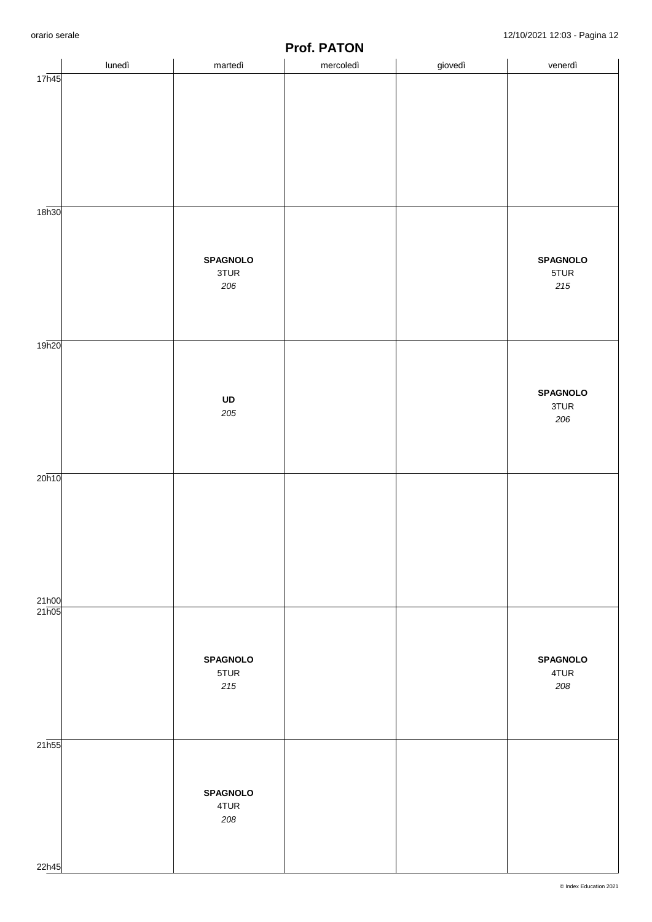|                   | lunedì | martedì         | .<br>.<br>mercoledì | giovedì | venerdì                 |
|-------------------|--------|-----------------|---------------------|---------|-------------------------|
| 17h45             |        |                 |                     |         |                         |
|                   |        |                 |                     |         |                         |
|                   |        |                 |                     |         |                         |
|                   |        |                 |                     |         |                         |
|                   |        |                 |                     |         |                         |
|                   |        |                 |                     |         |                         |
| 18 <sub>h30</sub> |        |                 |                     |         |                         |
|                   |        |                 |                     |         |                         |
|                   |        |                 |                     |         |                         |
|                   |        | <b>SPAGNOLO</b> |                     |         | <b>SPAGNOLO</b>         |
|                   |        | 3TUR<br>206     |                     |         | 5TUR<br>$215$           |
|                   |        |                 |                     |         |                         |
|                   |        |                 |                     |         |                         |
| 19h20             |        |                 |                     |         |                         |
|                   |        |                 |                     |         |                         |
|                   |        |                 |                     |         |                         |
|                   |        | UD              |                     |         | <b>SPAGNOLO</b><br>3TUR |
|                   |        | 205             |                     |         | 206                     |
|                   |        |                 |                     |         |                         |
|                   |        |                 |                     |         |                         |
| 20h10             |        |                 |                     |         |                         |
|                   |        |                 |                     |         |                         |
|                   |        |                 |                     |         |                         |
|                   |        |                 |                     |         |                         |
|                   |        |                 |                     |         |                         |
|                   |        |                 |                     |         |                         |
| 21h00             |        |                 |                     |         |                         |
| 21h05             |        |                 |                     |         |                         |
|                   |        |                 |                     |         |                         |
|                   |        | <b>SPAGNOLO</b> |                     |         | <b>SPAGNOLO</b>         |
|                   |        | 5TUR            |                     |         | 4TUR                    |
|                   |        | 215             |                     |         | 208                     |
|                   |        |                 |                     |         |                         |
|                   |        |                 |                     |         |                         |
| 21h55             |        |                 |                     |         |                         |
|                   |        |                 |                     |         |                         |
|                   |        | <b>SPAGNOLO</b> |                     |         |                         |
|                   |        | 4TUR            |                     |         |                         |
|                   |        | 208             |                     |         |                         |
|                   |        |                 |                     |         |                         |
| 22h45             |        |                 |                     |         |                         |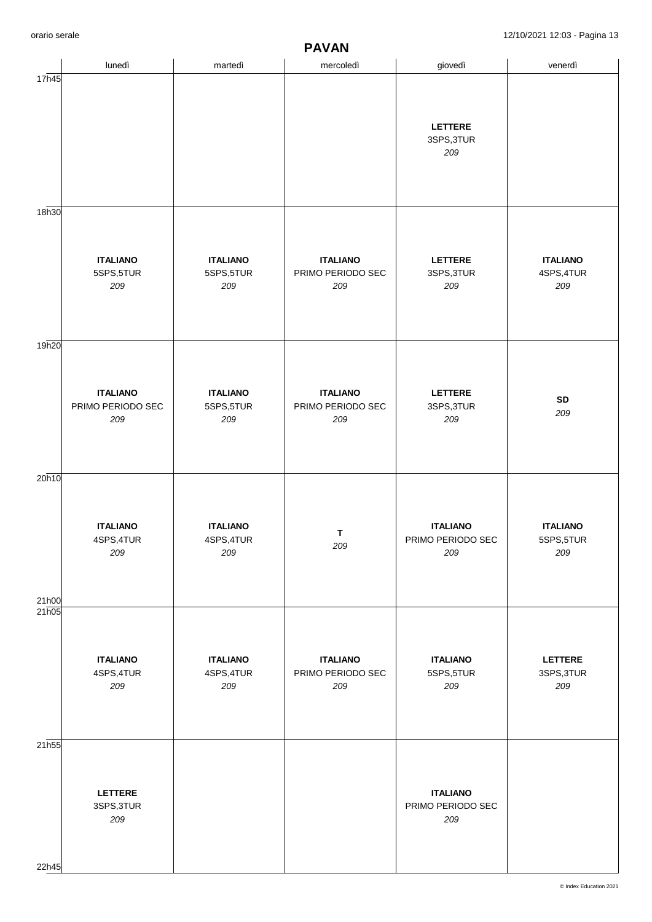|                   |                               |                               | .                                    |                              |                               |
|-------------------|-------------------------------|-------------------------------|--------------------------------------|------------------------------|-------------------------------|
|                   | lunedì                        | martedì                       | mercoledì                            | giovedì                      | venerdì                       |
| 17h45             |                               |                               |                                      |                              |                               |
|                   |                               |                               |                                      |                              |                               |
|                   |                               |                               |                                      | LETTERE                      |                               |
|                   |                               |                               |                                      | 3SPS, 3TUR                   |                               |
|                   |                               |                               |                                      | 209                          |                               |
|                   |                               |                               |                                      |                              |                               |
|                   |                               |                               |                                      |                              |                               |
| 18 <sub>h30</sub> |                               |                               |                                      |                              |                               |
|                   |                               |                               |                                      |                              |                               |
|                   |                               |                               |                                      |                              |                               |
|                   | <b>ITALIANO</b><br>5SPS,5TUR  | <b>ITALIANO</b><br>5SPS, 5TUR | <b>ITALIANO</b><br>PRIMO PERIODO SEC | LETTERE<br>3SPS, 3TUR        | <b>ITALIANO</b><br>4SPS, 4TUR |
|                   | 209                           | 209                           | 209                                  | 209                          | 209                           |
|                   |                               |                               |                                      |                              |                               |
|                   |                               |                               |                                      |                              |                               |
| 19h20             |                               |                               |                                      |                              |                               |
|                   |                               |                               |                                      |                              |                               |
|                   |                               |                               |                                      |                              |                               |
|                   | <b>ITALIANO</b>               | <b>ITALIANO</b>               | <b>ITALIANO</b>                      | LETTERE                      | SD                            |
|                   | PRIMO PERIODO SEC<br>209      | 5SPS, 5TUR<br>209             | PRIMO PERIODO SEC<br>209             | 3SPS, 3TUR<br>209            | 209                           |
|                   |                               |                               |                                      |                              |                               |
|                   |                               |                               |                                      |                              |                               |
|                   |                               |                               |                                      |                              |                               |
| 20h10             |                               |                               |                                      |                              |                               |
|                   |                               |                               |                                      |                              |                               |
|                   | <b>ITALIANO</b>               | <b>ITALIANO</b>               |                                      | <b>ITALIANO</b>              | <b>ITALIANO</b>               |
|                   | 4SPS, 4TUR                    | 4SPS, 4TUR                    | $\mathsf T$<br>209                   | PRIMO PERIODO SEC            | 5SPS,5TUR                     |
|                   | 209                           | 209                           |                                      | 209                          | 209                           |
|                   |                               |                               |                                      |                              |                               |
| 21h00             |                               |                               |                                      |                              |                               |
| 21h05             |                               |                               |                                      |                              |                               |
|                   |                               |                               |                                      |                              |                               |
|                   |                               |                               |                                      |                              |                               |
|                   | <b>ITALIANO</b><br>4SPS, 4TUR | <b>ITALIANO</b><br>4SPS, 4TUR | <b>ITALIANO</b><br>PRIMO PERIODO SEC | <b>ITALIANO</b><br>5SPS,5TUR | <b>LETTERE</b><br>3SPS, 3TUR  |
|                   | 209                           | 209                           | 209                                  | 209                          | 209                           |
|                   |                               |                               |                                      |                              |                               |
|                   |                               |                               |                                      |                              |                               |
| 21 <sub>h55</sub> |                               |                               |                                      |                              |                               |
|                   |                               |                               |                                      |                              |                               |
|                   |                               |                               |                                      |                              |                               |
|                   | <b>LETTERE</b>                |                               |                                      | <b>ITALIANO</b>              |                               |
|                   | 3SPS, 3TUR                    |                               |                                      | PRIMO PERIODO SEC            |                               |
|                   | 209                           |                               |                                      | 209                          |                               |
|                   |                               |                               |                                      |                              |                               |
| 22h45             |                               |                               |                                      |                              |                               |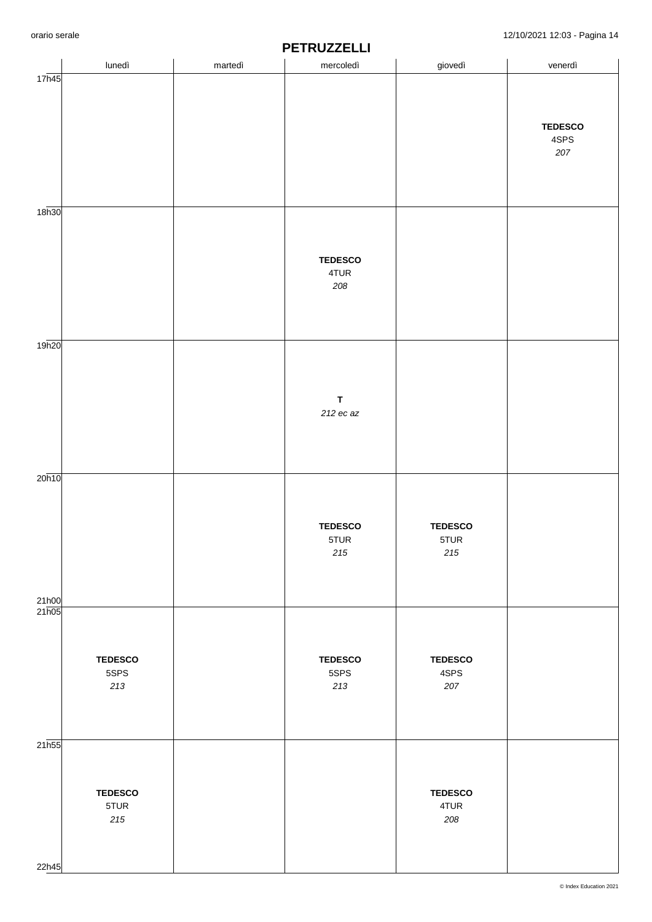|       | lunedì         | martedì | .<br>mercoledì  | giovedì         | venerdì        |
|-------|----------------|---------|-----------------|-----------------|----------------|
| 17h45 |                |         |                 |                 |                |
|       |                |         |                 |                 |                |
|       |                |         |                 |                 | <b>TEDESCO</b> |
|       |                |         |                 |                 | 4SPS           |
|       |                |         |                 |                 | 207            |
|       |                |         |                 |                 |                |
|       |                |         |                 |                 |                |
| 18h30 |                |         |                 |                 |                |
|       |                |         |                 |                 |                |
|       |                |         | <b>TEDESCO</b>  |                 |                |
|       |                |         | 4TUR            |                 |                |
|       |                |         | 208             |                 |                |
|       |                |         |                 |                 |                |
|       |                |         |                 |                 |                |
| 19h20 |                |         |                 |                 |                |
|       |                |         |                 |                 |                |
|       |                |         | $\mathsf T$     |                 |                |
|       |                |         | 212 ec az       |                 |                |
|       |                |         |                 |                 |                |
|       |                |         |                 |                 |                |
|       |                |         |                 |                 |                |
| 20h10 |                |         |                 |                 |                |
|       |                |         |                 |                 |                |
|       |                |         | <b>TEDESCO</b>  | <b>TEDESCO</b>  |                |
|       |                |         | 5TUR<br>$2\,15$ | 5TUR<br>$215\,$ |                |
|       |                |         |                 |                 |                |
|       |                |         |                 |                 |                |
| 21h00 |                |         |                 |                 |                |
| 21h05 |                |         |                 |                 |                |
|       |                |         |                 |                 |                |
|       | <b>TEDESCO</b> |         | <b>TEDESCO</b>  | <b>TEDESCO</b>  |                |
|       | 5SPS<br>213    |         | 5SPS<br>213     | 4SPS<br>207     |                |
|       |                |         |                 |                 |                |
|       |                |         |                 |                 |                |
|       |                |         |                 |                 |                |
| 21h55 |                |         |                 |                 |                |
|       |                |         |                 |                 |                |
|       | <b>TEDESCO</b> |         |                 | <b>TEDESCO</b>  |                |
|       | 5TUR           |         |                 | 4TUR            |                |
|       | 215            |         |                 | 208             |                |
|       |                |         |                 |                 |                |
| 22h45 |                |         |                 |                 |                |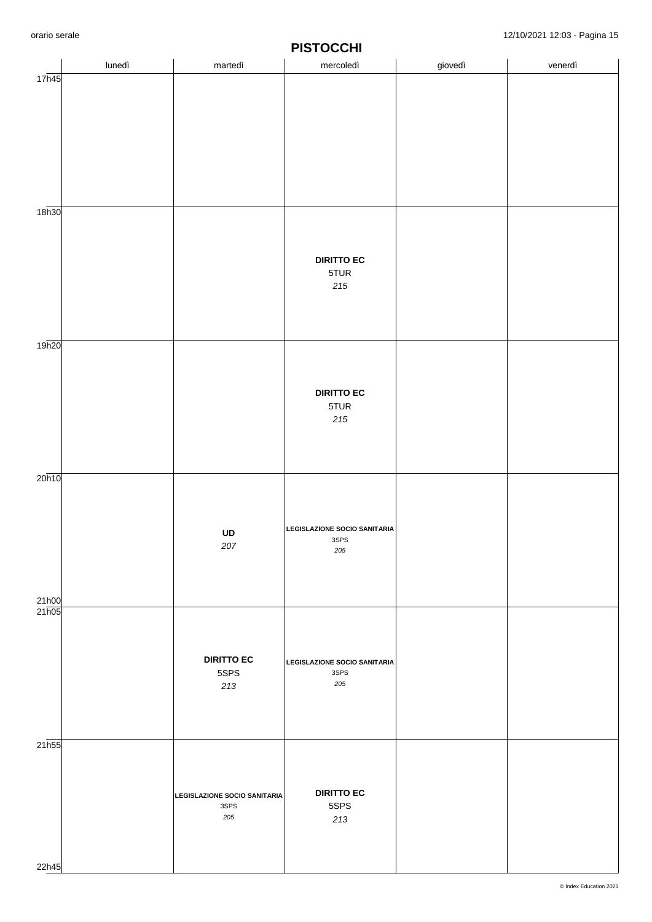|                | lunedì | martedì                                     | -- -<br>mercoledì                    | giovedì | venerdì |
|----------------|--------|---------------------------------------------|--------------------------------------|---------|---------|
| 17h45          |        |                                             |                                      |         |         |
|                |        |                                             |                                      |         |         |
|                |        |                                             |                                      |         |         |
|                |        |                                             |                                      |         |         |
|                |        |                                             |                                      |         |         |
|                |        |                                             |                                      |         |         |
|                |        |                                             |                                      |         |         |
|                |        |                                             |                                      |         |         |
| 18h30          |        |                                             |                                      |         |         |
|                |        |                                             |                                      |         |         |
|                |        |                                             | <b>DIRITTO EC</b>                    |         |         |
|                |        |                                             | 5TUR                                 |         |         |
|                |        |                                             | $215\,$                              |         |         |
|                |        |                                             |                                      |         |         |
|                |        |                                             |                                      |         |         |
| 19h20          |        |                                             |                                      |         |         |
|                |        |                                             |                                      |         |         |
|                |        |                                             |                                      |         |         |
|                |        |                                             | <b>DIRITTO EC</b>                    |         |         |
|                |        |                                             | 5TUR<br>$215$                        |         |         |
|                |        |                                             |                                      |         |         |
|                |        |                                             |                                      |         |         |
|                |        |                                             |                                      |         |         |
| 20h10          |        |                                             |                                      |         |         |
|                |        |                                             |                                      |         |         |
|                |        |                                             |                                      |         |         |
|                |        | UD                                          | LEGISLAZIONE SOCIO SANITARIA<br>3SPS |         |         |
|                |        | 207                                         | 205                                  |         |         |
|                |        |                                             |                                      |         |         |
|                |        |                                             |                                      |         |         |
| 21h00<br>21h05 |        |                                             |                                      |         |         |
|                |        |                                             |                                      |         |         |
|                |        |                                             |                                      |         |         |
|                |        | <b>DIRITTO EC</b>                           | LEGISLAZIONE SOCIO SANITARIA         |         |         |
|                |        | 5SPS<br>213                                 | 3SPS<br>205                          |         |         |
|                |        |                                             |                                      |         |         |
|                |        |                                             |                                      |         |         |
|                |        |                                             |                                      |         |         |
| 21h55          |        |                                             |                                      |         |         |
|                |        |                                             |                                      |         |         |
|                |        |                                             | <b>DIRITTO EC</b>                    |         |         |
|                |        | <b>LEGISLAZIONE SOCIO SANITARIA</b><br>3SPS | 5SPS                                 |         |         |
|                |        | 205                                         | 213                                  |         |         |
|                |        |                                             |                                      |         |         |
|                |        |                                             |                                      |         |         |
| 22h45          |        |                                             |                                      |         |         |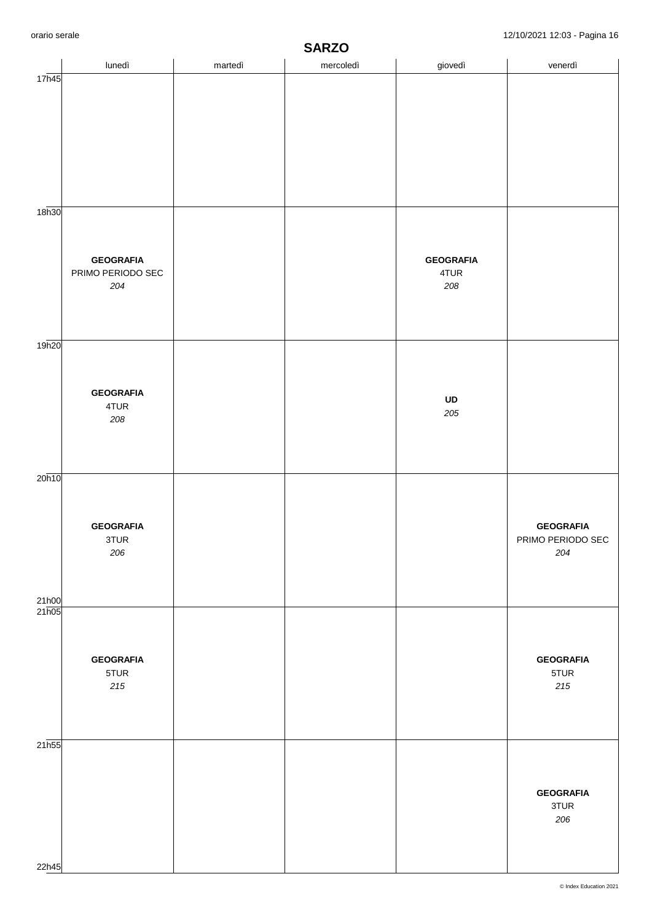|       | lunedì                   | martedì | .<br>mercoledì | giovedì          | venerdì                  |  |
|-------|--------------------------|---------|----------------|------------------|--------------------------|--|
| 17h45 |                          |         |                |                  |                          |  |
|       |                          |         |                |                  |                          |  |
|       |                          |         |                |                  |                          |  |
|       |                          |         |                |                  |                          |  |
|       |                          |         |                |                  |                          |  |
|       |                          |         |                |                  |                          |  |
|       |                          |         |                |                  |                          |  |
|       |                          |         |                |                  |                          |  |
| 18h30 |                          |         |                |                  |                          |  |
|       |                          |         |                |                  |                          |  |
|       | <b>GEOGRAFIA</b>         |         |                | <b>GEOGRAFIA</b> |                          |  |
|       | PRIMO PERIODO SEC        |         |                | 4TUR             |                          |  |
|       | 204                      |         |                | 208              |                          |  |
|       |                          |         |                |                  |                          |  |
|       |                          |         |                |                  |                          |  |
| 19h20 |                          |         |                |                  |                          |  |
|       |                          |         |                |                  |                          |  |
|       |                          |         |                |                  |                          |  |
|       | <b>GEOGRAFIA</b><br>4TUR |         |                | UD               |                          |  |
|       | 208                      |         |                | 205              |                          |  |
|       |                          |         |                |                  |                          |  |
|       |                          |         |                |                  |                          |  |
|       |                          |         |                |                  |                          |  |
| 20h10 |                          |         |                |                  |                          |  |
|       |                          |         |                |                  |                          |  |
|       | <b>GEOGRAFIA</b>         |         |                |                  | <b>GEOGRAFIA</b>         |  |
|       | 3TUR                     |         |                |                  | PRIMO PERIODO SEC        |  |
|       | 206                      |         |                |                  | 204                      |  |
|       |                          |         |                |                  |                          |  |
| 21h00 |                          |         |                |                  |                          |  |
| 21h05 |                          |         |                |                  |                          |  |
|       |                          |         |                |                  |                          |  |
|       |                          |         |                |                  |                          |  |
|       | <b>GEOGRAFIA</b><br>5TUR |         |                |                  | <b>GEOGRAFIA</b><br>5TUR |  |
|       | 215                      |         |                |                  | $215$                    |  |
|       |                          |         |                |                  |                          |  |
|       |                          |         |                |                  |                          |  |
| 21h55 |                          |         |                |                  |                          |  |
|       |                          |         |                |                  |                          |  |
|       |                          |         |                |                  |                          |  |
|       |                          |         |                |                  | <b>GEOGRAFIA</b>         |  |
|       |                          |         |                |                  | 3TUR                     |  |
|       |                          |         |                |                  | 206                      |  |
|       |                          |         |                |                  |                          |  |
| 22h45 |                          |         |                |                  |                          |  |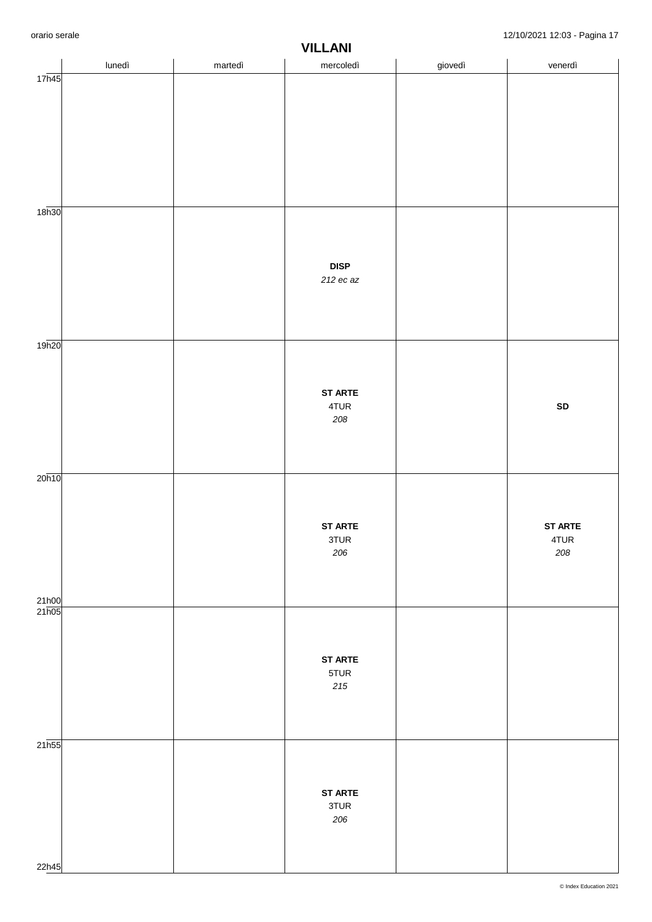|                       | lunedì | martedì | ,,,,,,,,,<br>mercoledì | giovedì | venerdì                |
|-----------------------|--------|---------|------------------------|---------|------------------------|
| 17h45                 |        |         |                        |         |                        |
|                       |        |         |                        |         |                        |
|                       |        |         |                        |         |                        |
|                       |        |         |                        |         |                        |
|                       |        |         |                        |         |                        |
|                       |        |         |                        |         |                        |
| 18 <sub>h30</sub>     |        |         |                        |         |                        |
|                       |        |         |                        |         |                        |
|                       |        |         |                        |         |                        |
|                       |        |         | <b>DISP</b>            |         |                        |
|                       |        |         | $212$ ec az            |         |                        |
|                       |        |         |                        |         |                        |
|                       |        |         |                        |         |                        |
| 19 <sub>h20</sub>     |        |         |                        |         |                        |
|                       |        |         |                        |         |                        |
|                       |        |         | <b>ST ARTE</b>         |         |                        |
|                       |        |         | 4TUR                   |         | SD                     |
|                       |        |         | 208                    |         |                        |
|                       |        |         |                        |         |                        |
| 20h10                 |        |         |                        |         |                        |
|                       |        |         |                        |         |                        |
|                       |        |         |                        |         |                        |
|                       |        |         | <b>ST ARTE</b><br>3TUR |         | <b>ST ARTE</b><br>4TUR |
|                       |        |         | 206                    |         | 208                    |
|                       |        |         |                        |         |                        |
|                       |        |         |                        |         |                        |
| $\frac{21h00}{21h05}$ |        |         |                        |         |                        |
|                       |        |         |                        |         |                        |
|                       |        |         | <b>ST ARTE</b>         |         |                        |
|                       |        |         | 5TUR                   |         |                        |
|                       |        |         | $2\,15$                |         |                        |
|                       |        |         |                        |         |                        |
| $21\overline{h55}$    |        |         |                        |         |                        |
|                       |        |         |                        |         |                        |
|                       |        |         |                        |         |                        |
|                       |        |         | <b>ST ARTE</b><br>3TUR |         |                        |
|                       |        |         | 206                    |         |                        |
|                       |        |         |                        |         |                        |
| 22h45                 |        |         |                        |         |                        |